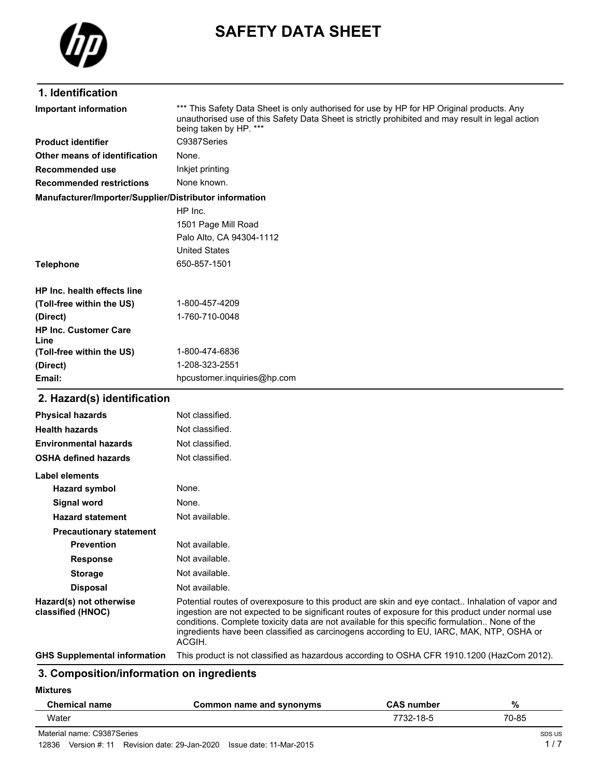

# **SAFETY DATA SHEET**

# **1. Identification**

| <b>Important information</b>                           | *** This Safety Data Sheet is only authorised for use by HP for HP Original products. Any<br>unauthorised use of this Safety Data Sheet is strictly prohibited and may result in legal action<br>being taken by HP. *** |
|--------------------------------------------------------|-------------------------------------------------------------------------------------------------------------------------------------------------------------------------------------------------------------------------|
| <b>Product identifier</b>                              | C9387Series                                                                                                                                                                                                             |
| Other means of identification                          | None.                                                                                                                                                                                                                   |
| Recommended use                                        | Inkjet printing                                                                                                                                                                                                         |
| <b>Recommended restrictions</b>                        | None known.                                                                                                                                                                                                             |
| Manufacturer/Importer/Supplier/Distributor information |                                                                                                                                                                                                                         |
|                                                        | HP Inc.                                                                                                                                                                                                                 |
|                                                        | 1501 Page Mill Road                                                                                                                                                                                                     |
|                                                        | Palo Alto, CA 94304-1112                                                                                                                                                                                                |
|                                                        | <b>United States</b>                                                                                                                                                                                                    |
| <b>Telephone</b>                                       | 650-857-1501                                                                                                                                                                                                            |
| HP Inc. health effects line                            |                                                                                                                                                                                                                         |
| (Toll-free within the US)                              | 1-800-457-4209                                                                                                                                                                                                          |
| (Direct)                                               | 1-760-710-0048                                                                                                                                                                                                          |
| <b>HP Inc. Customer Care</b><br>Line                   |                                                                                                                                                                                                                         |
| (Toll-free within the US)                              | 1-800-474-6836                                                                                                                                                                                                          |
| (Direct)                                               | 1-208-323-2551                                                                                                                                                                                                          |
| Email:                                                 | hpcustomer.inquiries@hp.com                                                                                                                                                                                             |
| 2. Hazard(s) identification                            |                                                                                                                                                                                                                         |
| <b>Physical hazards</b>                                | Not classified.                                                                                                                                                                                                         |
| <b>Health hazards</b>                                  | Not classified.                                                                                                                                                                                                         |
| <b>Environmental hazards</b>                           | Not classified.                                                                                                                                                                                                         |

| <b>OSHA defined hazards</b>                  | Not classified.                                                                                                                                                                                                                                                                                                                                                                                                |
|----------------------------------------------|----------------------------------------------------------------------------------------------------------------------------------------------------------------------------------------------------------------------------------------------------------------------------------------------------------------------------------------------------------------------------------------------------------------|
| Label elements                               |                                                                                                                                                                                                                                                                                                                                                                                                                |
| <b>Hazard symbol</b>                         | None.                                                                                                                                                                                                                                                                                                                                                                                                          |
| Signal word                                  | None.                                                                                                                                                                                                                                                                                                                                                                                                          |
| <b>Hazard statement</b>                      | Not available.                                                                                                                                                                                                                                                                                                                                                                                                 |
| <b>Precautionary statement</b>               |                                                                                                                                                                                                                                                                                                                                                                                                                |
| <b>Prevention</b>                            | Not available.                                                                                                                                                                                                                                                                                                                                                                                                 |
| <b>Response</b>                              | Not available.                                                                                                                                                                                                                                                                                                                                                                                                 |
| <b>Storage</b>                               | Not available.                                                                                                                                                                                                                                                                                                                                                                                                 |
| <b>Disposal</b>                              | Not available.                                                                                                                                                                                                                                                                                                                                                                                                 |
| Hazard(s) not otherwise<br>classified (HNOC) | Potential routes of overexposure to this product are skin and eye contact Inhalation of vapor and<br>ingestion are not expected to be significant routes of exposure for this product under normal use<br>conditions. Complete toxicity data are not available for this specific formulation None of the<br>ingredients have been classified as carcinogens according to EU, IARC, MAK, NTP, OSHA or<br>ACGIH. |
| <b>GHS Supplemental information</b>          | This product is not classified as hazardous according to OSHA CFR 1910.1200 (HazCom 2012).                                                                                                                                                                                                                                                                                                                     |

# **3. Composition/information on ingredients**

**Mixtures**

| <b>Chemical name</b>       | Common name and synonyms | <b>CAS number</b> | %      |
|----------------------------|--------------------------|-------------------|--------|
| Water                      |                          | 7732-18-5         | 70-85  |
| Material name: C9387Series |                          |                   | SDS US |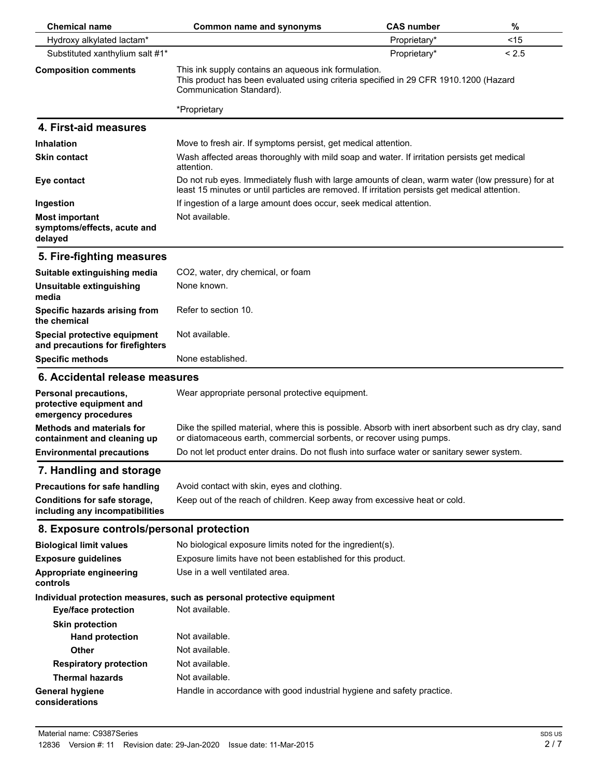| <b>Chemical name</b>                                                      | Common name and synonyms                                                                                                                                                                           | <b>CAS number</b> | %     |
|---------------------------------------------------------------------------|----------------------------------------------------------------------------------------------------------------------------------------------------------------------------------------------------|-------------------|-------|
| Hydroxy alkylated lactam*                                                 |                                                                                                                                                                                                    | Proprietary*      | < 15  |
| Substituted xanthylium salt #1*                                           |                                                                                                                                                                                                    | Proprietary*      | < 2.5 |
| <b>Composition comments</b>                                               | This ink supply contains an aqueous ink formulation.<br>This product has been evaluated using criteria specified in 29 CFR 1910.1200 (Hazard<br>Communication Standard).                           |                   |       |
|                                                                           | *Proprietary                                                                                                                                                                                       |                   |       |
| 4. First-aid measures                                                     |                                                                                                                                                                                                    |                   |       |
| <b>Inhalation</b>                                                         | Move to fresh air. If symptoms persist, get medical attention.                                                                                                                                     |                   |       |
| <b>Skin contact</b>                                                       | Wash affected areas thoroughly with mild soap and water. If irritation persists get medical<br>attention.                                                                                          |                   |       |
| Eye contact                                                               | Do not rub eyes. Immediately flush with large amounts of clean, warm water (low pressure) for at<br>least 15 minutes or until particles are removed. If irritation persists get medical attention. |                   |       |
| Ingestion                                                                 | If ingestion of a large amount does occur, seek medical attention.                                                                                                                                 |                   |       |
| <b>Most important</b><br>symptoms/effects, acute and<br>delayed           | Not available.                                                                                                                                                                                     |                   |       |
| 5. Fire-fighting measures                                                 |                                                                                                                                                                                                    |                   |       |
| Suitable extinguishing media                                              | CO2, water, dry chemical, or foam                                                                                                                                                                  |                   |       |
| Unsuitable extinguishing<br>media                                         | None known.                                                                                                                                                                                        |                   |       |
| Specific hazards arising from<br>the chemical                             | Refer to section 10.                                                                                                                                                                               |                   |       |
| Special protective equipment<br>and precautions for firefighters          | Not available.                                                                                                                                                                                     |                   |       |
| <b>Specific methods</b>                                                   | None established.                                                                                                                                                                                  |                   |       |
| 6. Accidental release measures                                            |                                                                                                                                                                                                    |                   |       |
| Personal precautions,<br>protective equipment and<br>emergency procedures | Wear appropriate personal protective equipment.                                                                                                                                                    |                   |       |
| <b>Methods and materials for</b><br>containment and cleaning up           | Dike the spilled material, where this is possible. Absorb with inert absorbent such as dry clay, sand<br>or diatomaceous earth, commercial sorbents, or recover using pumps.                       |                   |       |
| <b>Environmental precautions</b>                                          | Do not let product enter drains. Do not flush into surface water or sanitary sewer system.                                                                                                         |                   |       |
| 7. Handling and storage                                                   |                                                                                                                                                                                                    |                   |       |
| <b>Precautions for safe handling</b>                                      | Avoid contact with skin, eyes and clothing.                                                                                                                                                        |                   |       |
| Conditions for safe storage,<br>including any incompatibilities           | Keep out of the reach of children. Keep away from excessive heat or cold.                                                                                                                          |                   |       |
| 8. Exposure controls/personal protection                                  |                                                                                                                                                                                                    |                   |       |
| <b>Biological limit values</b>                                            | No biological exposure limits noted for the ingredient(s).                                                                                                                                         |                   |       |
| <b>Exposure guidelines</b>                                                | Exposure limits have not been established for this product.                                                                                                                                        |                   |       |
| Appropriate engineering<br>controls                                       | Use in a well ventilated area.                                                                                                                                                                     |                   |       |
| <b>Eye/face protection</b>                                                | Individual protection measures, such as personal protective equipment<br>Not available.                                                                                                            |                   |       |
| <b>Skin protection</b>                                                    |                                                                                                                                                                                                    |                   |       |
| <b>Hand protection</b>                                                    | Not available.                                                                                                                                                                                     |                   |       |
| <b>Other</b>                                                              | Not available.                                                                                                                                                                                     |                   |       |
| <b>Respiratory protection</b>                                             | Not available.                                                                                                                                                                                     |                   |       |
| <b>Thermal hazards</b>                                                    | Not available.                                                                                                                                                                                     |                   |       |
| <b>General hygiene</b><br>considerations                                  | Handle in accordance with good industrial hygiene and safety practice.                                                                                                                             |                   |       |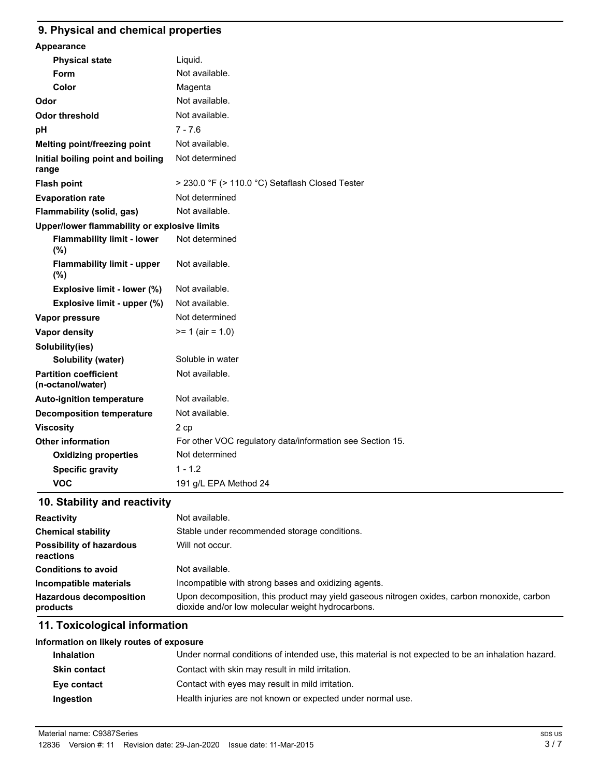# **9. Physical and chemical properties**

| Appearance                                        |                                                           |
|---------------------------------------------------|-----------------------------------------------------------|
| <b>Physical state</b>                             | Liquid.                                                   |
| Form                                              | Not available.                                            |
| Color                                             | Magenta                                                   |
| Odor                                              | Not available.                                            |
| <b>Odor threshold</b>                             | Not available.                                            |
| рH                                                | $7 - 7.6$                                                 |
| Melting point/freezing point                      | Not available.                                            |
| Initial boiling point and boiling<br>range        | Not determined                                            |
| <b>Flash point</b>                                | > 230.0 °F (> 110.0 °C) Setaflash Closed Tester           |
| <b>Evaporation rate</b>                           | Not determined                                            |
| Flammability (solid, gas)                         | Not available.                                            |
| Upper/lower flammability or explosive limits      |                                                           |
| <b>Flammability limit - lower</b><br>(%)          | Not determined                                            |
| <b>Flammability limit - upper</b><br>$(\% )$      | Not available.                                            |
| Explosive limit - lower (%)                       | Not available.                                            |
| Explosive limit - upper (%)                       | Not available.                                            |
| Vapor pressure                                    | Not determined                                            |
| Vapor density                                     | $>= 1$ (air = 1.0)                                        |
| Solubility(ies)                                   |                                                           |
| Solubility (water)                                | Soluble in water                                          |
| <b>Partition coefficient</b><br>(n-octanol/water) | Not available.                                            |
| <b>Auto-ignition temperature</b>                  | Not available.                                            |
| <b>Decomposition temperature</b>                  | Not available.                                            |
| <b>Viscosity</b>                                  | 2 cp                                                      |
| <b>Other information</b>                          | For other VOC regulatory data/information see Section 15. |
| <b>Oxidizing properties</b>                       | Not determined                                            |
| <b>Specific gravity</b>                           | $1 - 1.2$                                                 |
| <b>VOC</b>                                        | 191 g/L EPA Method 24                                     |

# **10. Stability and reactivity**

| <b>Reactivity</b>                            | Not available.                                                                                                                                   |
|----------------------------------------------|--------------------------------------------------------------------------------------------------------------------------------------------------|
| <b>Chemical stability</b>                    | Stable under recommended storage conditions.                                                                                                     |
| <b>Possibility of hazardous</b><br>reactions | Will not occur.                                                                                                                                  |
| <b>Conditions to avoid</b>                   | Not available.                                                                                                                                   |
| Incompatible materials                       | Incompatible with strong bases and oxidizing agents.                                                                                             |
| <b>Hazardous decomposition</b><br>products   | Upon decomposition, this product may yield gaseous nitrogen oxides, carbon monoxide, carbon<br>dioxide and/or low molecular weight hydrocarbons. |

## **11. Toxicological information**

# **Information on likely routes of exposure Inhalation** Under normal conditions of intended use, this material is not expected to be an inhalation hazard. **Skin contact** Contact with skin may result in mild irritation. **Eye contact** Contact with eyes may result in mild irritation. **Ingestion Health injuries are not known or expected under normal use.**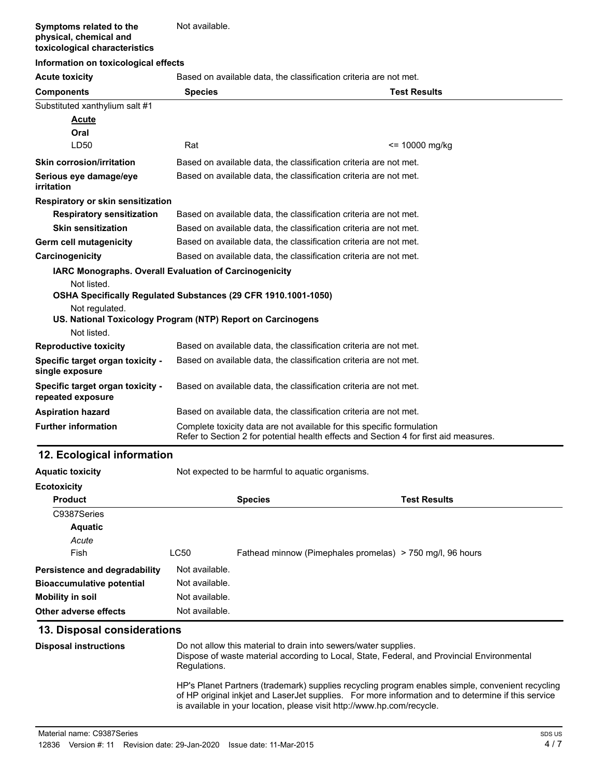#### **Symptoms related to the physical, chemical and toxicological characteristics** Not available.

### **Information on toxicological effects**

**Acute toxicity** Based on available data, the classification criteria are not met.

| <b>HOWLO LOAIOIL</b>                                                       |                                                                                                                                                                 |                     |
|----------------------------------------------------------------------------|-----------------------------------------------------------------------------------------------------------------------------------------------------------------|---------------------|
| <b>Components</b>                                                          | <b>Species</b>                                                                                                                                                  | <b>Test Results</b> |
| Substituted xanthylium salt #1                                             |                                                                                                                                                                 |                     |
| <b>Acute</b>                                                               |                                                                                                                                                                 |                     |
| Oral                                                                       |                                                                                                                                                                 |                     |
| LD50                                                                       | Rat                                                                                                                                                             | $= 10000$ mg/kg     |
| <b>Skin corrosion/irritation</b>                                           | Based on available data, the classification criteria are not met.                                                                                               |                     |
| Serious eye damage/eye<br>irritation                                       | Based on available data, the classification criteria are not met.                                                                                               |                     |
| Respiratory or skin sensitization                                          |                                                                                                                                                                 |                     |
| <b>Respiratory sensitization</b>                                           | Based on available data, the classification criteria are not met.                                                                                               |                     |
| <b>Skin sensitization</b>                                                  | Based on available data, the classification criteria are not met.                                                                                               |                     |
| Germ cell mutagenicity                                                     | Based on available data, the classification criteria are not met.                                                                                               |                     |
| Carcinogenicity                                                            | Based on available data, the classification criteria are not met.                                                                                               |                     |
| IARC Monographs. Overall Evaluation of Carcinogenicity                     |                                                                                                                                                                 |                     |
| Not listed.                                                                |                                                                                                                                                                 |                     |
| OSHA Specifically Regulated Substances (29 CFR 1910.1001-1050)             |                                                                                                                                                                 |                     |
| Not regulated.                                                             |                                                                                                                                                                 |                     |
| US. National Toxicology Program (NTP) Report on Carcinogens<br>Not listed. |                                                                                                                                                                 |                     |
| <b>Reproductive toxicity</b>                                               | Based on available data, the classification criteria are not met.                                                                                               |                     |
|                                                                            |                                                                                                                                                                 |                     |
| Specific target organ toxicity -<br>single exposure                        | Based on available data, the classification criteria are not met.                                                                                               |                     |
| Specific target organ toxicity -<br>repeated exposure                      | Based on available data, the classification criteria are not met.                                                                                               |                     |
| <b>Aspiration hazard</b>                                                   | Based on available data, the classification criteria are not met.                                                                                               |                     |
| <b>Further information</b>                                                 | Complete toxicity data are not available for this specific formulation<br>Refer to Section 2 for potential health effects and Section 4 for first aid measures. |                     |

# **12. Ecological information**

**Aquatic toxicity** Not expected to be harmful to aquatic organisms.

| <b>Ecotoxicity</b>                   |                |                                                           |                     |
|--------------------------------------|----------------|-----------------------------------------------------------|---------------------|
| <b>Product</b>                       |                | <b>Species</b>                                            | <b>Test Results</b> |
| C9387Series                          |                |                                                           |                     |
| <b>Aquatic</b>                       |                |                                                           |                     |
| Acute                                |                |                                                           |                     |
| Fish                                 | LC50           | Fathead minnow (Pimephales promelas) > 750 mg/l, 96 hours |                     |
| <b>Persistence and degradability</b> | Not available. |                                                           |                     |
| <b>Bioaccumulative potential</b>     | Not available. |                                                           |                     |
| Mobility in soil                     | Not available. |                                                           |                     |
| Other adverse effects                | Not available. |                                                           |                     |

### **13. Disposal considerations**

| <b>Disposal instructions</b> | Do not allow this material to drain into sewers/water supplies.<br>Dispose of waste material according to Local, State, Federal, and Provincial Environmental<br>Regulations.                                                                                                     |
|------------------------------|-----------------------------------------------------------------------------------------------------------------------------------------------------------------------------------------------------------------------------------------------------------------------------------|
|                              | HP's Planet Partners (trademark) supplies recycling program enables simple, convenient recycling<br>of HP original inkiet and Laser Jet supplies. For more information and to determine if this service<br>is available in your location, please visit http://www.hp.com/recycle. |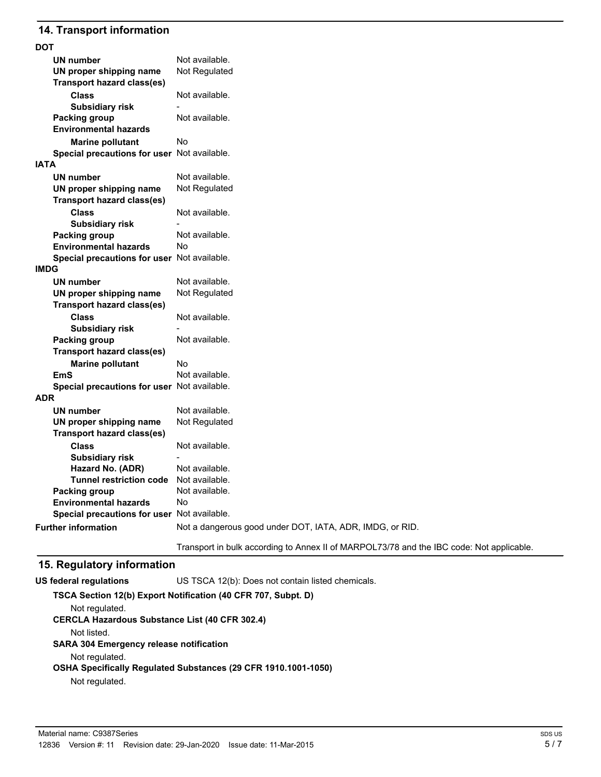## **14. Transport information**

| DOT                                         |                                                                                          |
|---------------------------------------------|------------------------------------------------------------------------------------------|
| UN number                                   | Not available.                                                                           |
| UN proper shipping name                     | Not Regulated                                                                            |
| <b>Transport hazard class(es)</b>           |                                                                                          |
| <b>Class</b>                                | Not available.                                                                           |
| <b>Subsidiary risk</b>                      |                                                                                          |
| <b>Packing group</b>                        | Not available.                                                                           |
| <b>Environmental hazards</b>                |                                                                                          |
| <b>Marine pollutant</b>                     | No                                                                                       |
| Special precautions for user Not available. |                                                                                          |
| IATA                                        |                                                                                          |
| <b>UN number</b>                            | Not available.                                                                           |
| UN proper shipping name                     | Not Regulated                                                                            |
| <b>Transport hazard class(es)</b>           |                                                                                          |
| <b>Class</b>                                | Not available.                                                                           |
| <b>Subsidiary risk</b>                      |                                                                                          |
| <b>Packing group</b>                        | Not available.                                                                           |
| <b>Environmental hazards</b>                | No                                                                                       |
| Special precautions for user Not available. |                                                                                          |
| <b>IMDG</b>                                 |                                                                                          |
| UN number                                   | Not available.                                                                           |
| UN proper shipping name                     | Not Regulated                                                                            |
| <b>Transport hazard class(es)</b>           |                                                                                          |
| <b>Class</b>                                | Not available.                                                                           |
| <b>Subsidiary risk</b>                      |                                                                                          |
| <b>Packing group</b>                        | Not available.                                                                           |
| <b>Transport hazard class(es)</b>           |                                                                                          |
| <b>Marine pollutant</b>                     | No                                                                                       |
| <b>EmS</b>                                  | Not available.                                                                           |
| Special precautions for user Not available. |                                                                                          |
| ADR                                         |                                                                                          |
| UN number                                   | Not available.                                                                           |
| UN proper shipping name                     | Not Regulated                                                                            |
| <b>Transport hazard class(es)</b>           |                                                                                          |
| <b>Class</b>                                | Not available.                                                                           |
| <b>Subsidiary risk</b>                      |                                                                                          |
| Hazard No. (ADR)                            | Not available.                                                                           |
| Tunnel restriction code                     | Not available.                                                                           |
| <b>Packing group</b>                        | Not available.                                                                           |
| <b>Environmental hazards</b>                | No                                                                                       |
| Special precautions for user Not available. |                                                                                          |
| <b>Further information</b>                  | Not a dangerous good under DOT, IATA, ADR, IMDG, or RID.                                 |
|                                             | Transport in bulk according to Annex II of MARPOL73/78 and the IBC code: Not applicable. |

## **15. Regulatory information**

**US federal regulations** US TSCA 12(b): Does not contain listed chemicals.

**TSCA Section 12(b) Export Notification (40 CFR 707, Subpt. D)** Not regulated. **CERCLA Hazardous Substance List (40 CFR 302.4)** Not listed. **SARA 304 Emergency release notification** Not regulated. **OSHA Specifically Regulated Substances (29 CFR 1910.1001-1050)** Not regulated.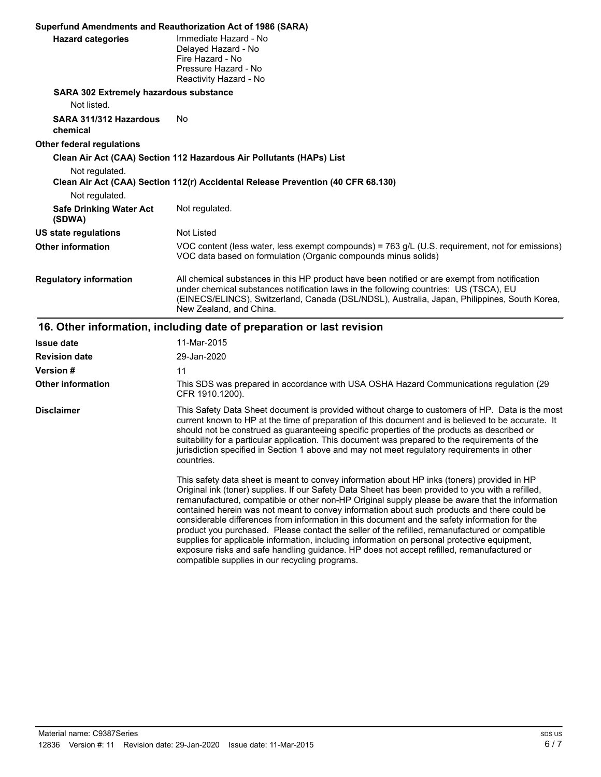|                                                              | Superfund Amendments and Reauthorization Act of 1986 (SARA)                                                                                                                                                                                                                                                                                                                                                                                                                                                                                                                                                                                                                                                                                                                                        |  |  |
|--------------------------------------------------------------|----------------------------------------------------------------------------------------------------------------------------------------------------------------------------------------------------------------------------------------------------------------------------------------------------------------------------------------------------------------------------------------------------------------------------------------------------------------------------------------------------------------------------------------------------------------------------------------------------------------------------------------------------------------------------------------------------------------------------------------------------------------------------------------------------|--|--|
| <b>Hazard categories</b>                                     | Immediate Hazard - No<br>Delayed Hazard - No<br>Fire Hazard - No<br>Pressure Hazard - No<br>Reactivity Hazard - No                                                                                                                                                                                                                                                                                                                                                                                                                                                                                                                                                                                                                                                                                 |  |  |
| <b>SARA 302 Extremely hazardous substance</b><br>Not listed. |                                                                                                                                                                                                                                                                                                                                                                                                                                                                                                                                                                                                                                                                                                                                                                                                    |  |  |
| SARA 311/312 Hazardous<br>chemical                           | No                                                                                                                                                                                                                                                                                                                                                                                                                                                                                                                                                                                                                                                                                                                                                                                                 |  |  |
| Other federal regulations                                    |                                                                                                                                                                                                                                                                                                                                                                                                                                                                                                                                                                                                                                                                                                                                                                                                    |  |  |
| Not regulated.                                               | Clean Air Act (CAA) Section 112 Hazardous Air Pollutants (HAPs) List<br>Clean Air Act (CAA) Section 112(r) Accidental Release Prevention (40 CFR 68.130)                                                                                                                                                                                                                                                                                                                                                                                                                                                                                                                                                                                                                                           |  |  |
| Not regulated.<br><b>Safe Drinking Water Act</b><br>(SDWA)   | Not regulated.                                                                                                                                                                                                                                                                                                                                                                                                                                                                                                                                                                                                                                                                                                                                                                                     |  |  |
| <b>US state regulations</b>                                  | Not Listed                                                                                                                                                                                                                                                                                                                                                                                                                                                                                                                                                                                                                                                                                                                                                                                         |  |  |
| <b>Other information</b>                                     | VOC content (less water, less exempt compounds) = 763 g/L (U.S. requirement, not for emissions)<br>VOC data based on formulation (Organic compounds minus solids)                                                                                                                                                                                                                                                                                                                                                                                                                                                                                                                                                                                                                                  |  |  |
| <b>Regulatory information</b>                                | All chemical substances in this HP product have been notified or are exempt from notification<br>under chemical substances notification laws in the following countries: US (TSCA), EU<br>(EINECS/ELINCS), Switzerland, Canada (DSL/NDSL), Australia, Japan, Philippines, South Korea,<br>New Zealand, and China.                                                                                                                                                                                                                                                                                                                                                                                                                                                                                  |  |  |
|                                                              | 16. Other information, including date of preparation or last revision                                                                                                                                                                                                                                                                                                                                                                                                                                                                                                                                                                                                                                                                                                                              |  |  |
| <b>Issue date</b>                                            | 11-Mar-2015                                                                                                                                                                                                                                                                                                                                                                                                                                                                                                                                                                                                                                                                                                                                                                                        |  |  |
| <b>Revision date</b>                                         | 29-Jan-2020                                                                                                                                                                                                                                                                                                                                                                                                                                                                                                                                                                                                                                                                                                                                                                                        |  |  |
| <b>Version #</b>                                             | 11                                                                                                                                                                                                                                                                                                                                                                                                                                                                                                                                                                                                                                                                                                                                                                                                 |  |  |
| <b>Other information</b>                                     | This SDS was prepared in accordance with USA OSHA Hazard Communications regulation (29<br>CFR 1910.1200).                                                                                                                                                                                                                                                                                                                                                                                                                                                                                                                                                                                                                                                                                          |  |  |
| <b>Disclaimer</b>                                            | This Safety Data Sheet document is provided without charge to customers of HP. Data is the most<br>current known to HP at the time of preparation of this document and is believed to be accurate. It<br>should not be construed as guaranteeing specific properties of the products as described or<br>suitability for a particular application. This document was prepared to the requirements of the<br>jurisdiction specified in Section 1 above and may not meet regulatory requirements in other<br>countries.                                                                                                                                                                                                                                                                               |  |  |
|                                                              | This safety data sheet is meant to convey information about HP inks (toners) provided in HP<br>Original ink (toner) supplies. If our Safety Data Sheet has been provided to you with a refilled,<br>remanufactured, compatible or other non-HP Original supply please be aware that the information<br>contained herein was not meant to convey information about such products and there could be<br>considerable differences from information in this document and the safety information for the<br>product you purchased. Please contact the seller of the refilled, remanufactured or compatible<br>supplies for applicable information, including information on personal protective equipment,<br>exposure risks and safe handling guidance. HP does not accept refilled, remanufactured or |  |  |

compatible supplies in our recycling programs.